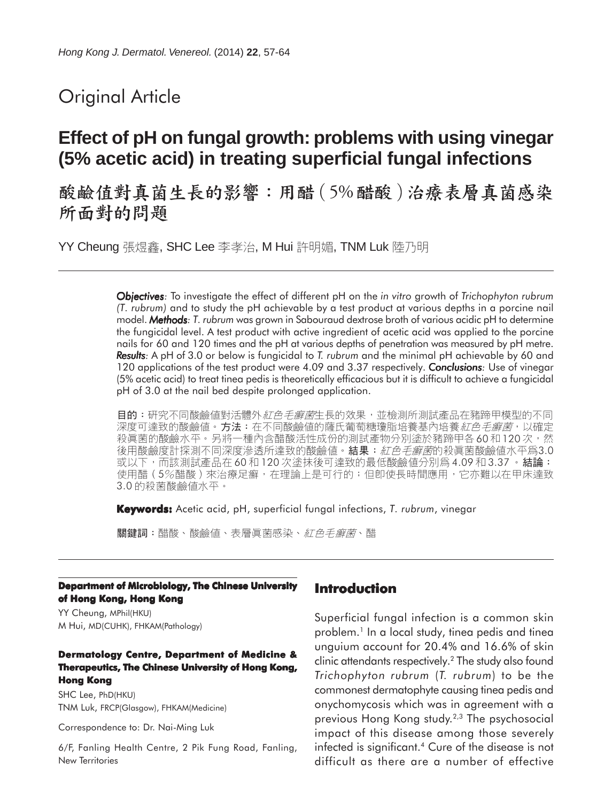# Original Article

# **Effect of pH on fungal growth: problems with using vinegar (5% acetic acid) in treating superficial fungal infections**

酸鹼值對真菌生長的影響:用醋 (5%醋酸)治療表層真菌感染 所面對的問題

YY Cheung 張煜鑫, SHC Lee 李孝治, M Hui 許明媚, TNM Luk 陸乃明

*Objectives: Objectives* To investigate the effect of different pH on the *in vitro* growth of *Trichophyton rubrum (T. rubrum)* and to study the pH achievable by a test product at various depths in a porcine nail model. *Methods: Methods T. rubrum* was grown in Sabouraud dextrose broth of various acidic pH to determine the fungicidal level. A test product with active ingredient of acetic acid was applied to the porcine nails for 60 and 120 times and the pH at various depths of penetration was measured by pH metre. **Results:** A pH of 3.0 or below is fungicidal to *T. rubrum* and the minimal pH achievable by 60 and 120 applications of the test product were 4.09 and 3.37 respectively. *Conclusions: Conclusions* Use of vinegar (5% acetic acid) to treat tinea pedis is theoretically efficacious but it is difficult to achieve a fungicidal pH of 3.0 at the nail bed despite prolonged application.

**目的:**研究不同酸鹼值對活體外*紅色毛癬菌*生長的效果,並檢測所測試產品在豬蹄甲模型的不同 深度可達致的酸鹼値。**方法:**在不同酸鹼值的薩氏葡萄糖瓊脂培養基內培養*紅色毛癬菌*,以確定<br>殺眞菌的酸鹼水平。另將一種內含醋酸活性成份的測試產物分別塗於豬蹄甲各60和 120 次,然 後用酸鹼度計探測不同深度滲透所達致的酸鹼值。結果:*紅色毛癬菌*的殺真菌酸鹼値水平爲3.0 或以下,而該測試產品在 60 和 120 次塗抹後可達致的最低酸鹼值分別爲 4.09 和 3.37 。結論: 使用醋 (5%醋酸) 來治療足癬, 在理論上是可行的; 但卽使長時間應用, 它亦難以在甲床達致 3.0 的殺菌酸鹼值水平。

**Keywords:** Acetic acid, pH, superficial fungal infections, *T. rubrum*, vinegar

關鍵詞:醋酸、酸鹼值、表層眞菌感染、*紅色毛癬菌*、醋

#### **Department of Microbiology, The Chinese University of Hong Kong, Hong Kong**

YY Cheung, MPhil(HKU) M Hui, MD(CUHK), FHKAM(Pathology)

### **Dermatology Centre, Department of Medicine & Therapeutics, The Chinese University of Hong Kong, Hong Kong**

SHC Lee, PhD(HKU) TNM Luk, FRCP(Glasgow), FHKAM(Medicine)

Correspondence to: Dr. Nai-Ming Luk

6/F, Fanling Health Centre, 2 Pik Fung Road, Fanling, New Territories

### **Introduction**

Superficial fungal infection is a common skin problem.<sup>1</sup> In a local study, tinea pedis and tinea unguium account for 20.4% and 16.6% of skin clinic attendants respectively.2 The study also found *Trichophyton rubrum* (*T. rubrum*) to be the commonest dermatophyte causing tinea pedis and onychomycosis which was in agreement with a previous Hong Kong study.2,3 The psychosocial impact of this disease among those severely infected is significant.<sup>4</sup> Cure of the disease is not difficult as there are a number of effective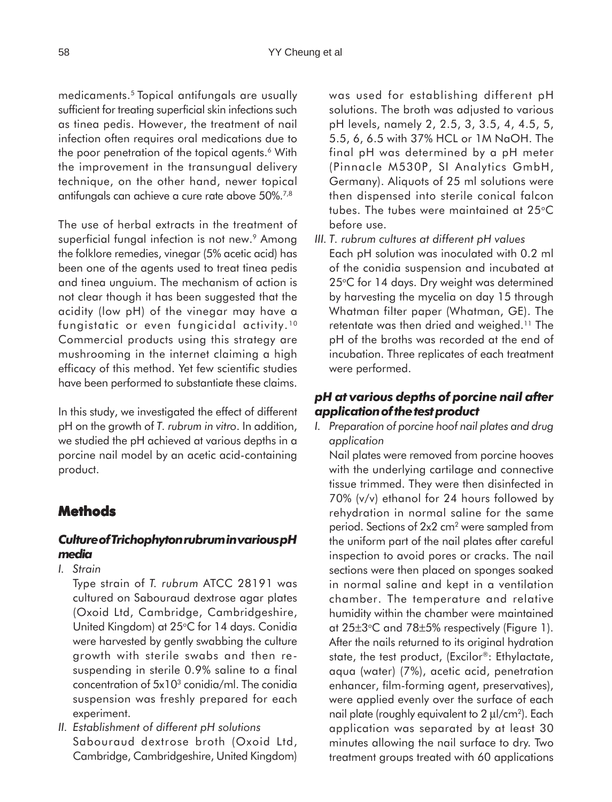medicaments.5 Topical antifungals are usually sufficient for treating superficial skin infections such as tinea pedis. However, the treatment of nail infection often requires oral medications due to the poor penetration of the topical agents.<sup>6</sup> With the improvement in the transungual delivery technique, on the other hand, newer topical antifungals can achieve a cure rate above 50%.7,8

The use of herbal extracts in the treatment of superficial fungal infection is not new.<sup>9</sup> Among the folklore remedies, vinegar (5% acetic acid) has been one of the agents used to treat tinea pedis and tinea unguium. The mechanism of action is not clear though it has been suggested that the acidity (low pH) of the vinegar may have a fungistatic or even fungicidal activity. <sup>10</sup> Commercial products using this strategy are mushrooming in the internet claiming a high efficacy of this method. Yet few scientific studies have been performed to substantiate these claims.

In this study, we investigated the effect of different pH on the growth of *T. rubrum in vitro*. In addition, we studied the pH achieved at various depths in a porcine nail model by an acetic acid-containing product.

## **Methods**

### *Culture of Trichophyton rubrum in various pH media*

- *I. Strain*
	- Type strain of *T. rubrum* ATCC 28191 was cultured on Sabouraud dextrose agar plates (Oxoid Ltd, Cambridge, Cambridgeshire, United Kingdom) at 25°C for 14 days. Conidia were harvested by gently swabbing the culture growth with sterile swabs and then resuspending in sterile 0.9% saline to a final concentration of 5x103 conidia/ml. The conidia suspension was freshly prepared for each experiment.
- *II. Establishment of different pH solutions* Sabouraud dextrose broth (Oxoid Ltd, Cambridge, Cambridgeshire, United Kingdom)

was used for establishing different pH solutions. The broth was adjusted to various pH levels, namely 2, 2.5, 3, 3.5, 4, 4.5, 5, 5.5, 6, 6.5 with 37% HCL or 1M NaOH. The final pH was determined by a pH meter (Pinnacle M530P, SI Analytics GmbH, Germany). Aliquots of 25 ml solutions were then dispensed into sterile conical falcon tubes. The tubes were maintained at 25°C before use.

*III. T. rubrum cultures at different pH values* Each pH solution was inoculated with 0.2 ml of the conidia suspension and incubated at 25°C for 14 days. Dry weight was determined by harvesting the mycelia on day 15 through Whatman filter paper (Whatman, GE). The retentate was then dried and weighed.<sup>11</sup> The pH of the broths was recorded at the end of incubation. Three replicates of each treatment were performed.

## *pH at various depths of porcine nail after application of the test product*

*I. Preparation of porcine hoof nail plates and drug application*

Nail plates were removed from porcine hooves with the underlying cartilage and connective tissue trimmed. They were then disinfected in 70% (v/v) ethanol for 24 hours followed by rehydration in normal saline for the same period. Sections of 2x2 cm2 were sampled from the uniform part of the nail plates after careful inspection to avoid pores or cracks. The nail sections were then placed on sponges soaked in normal saline and kept in a ventilation chamber. The temperature and relative humidity within the chamber were maintained at 25±3°C and 78±5% respectively (Figure 1). After the nails returned to its original hydration state, the test product, (Excilor®: Ethylactate, aqua (water) (7%), acetic acid, penetration enhancer, film-forming agent, preservatives), were applied evenly over the surface of each nail plate (roughly equivalent to 2 µl/cm<sup>2</sup>). Each application was separated by at least 30 minutes allowing the nail surface to dry. Two treatment groups treated with 60 applications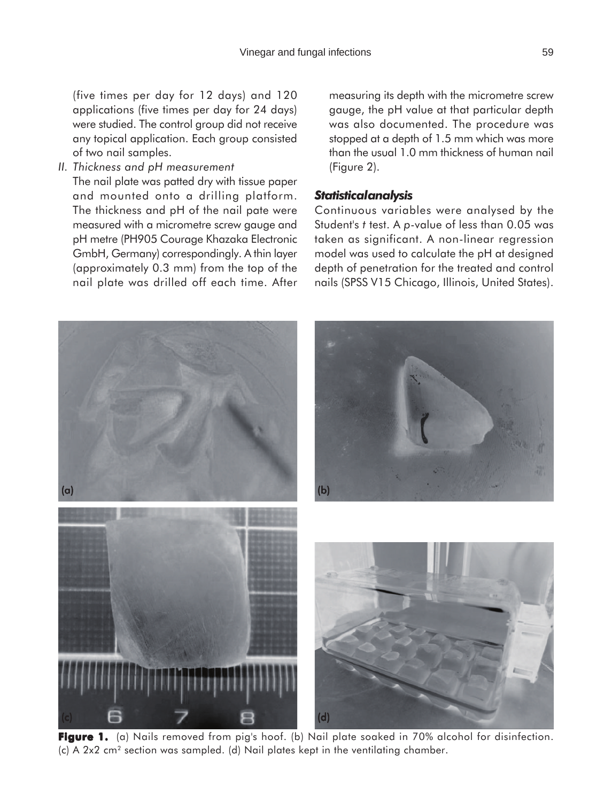(five times per day for 12 days) and 120 applications (five times per day for 24 days) were studied. The control group did not receive any topical application. Each group consisted of two nail samples.

*II. Thickness and pH measurement*

The nail plate was patted dry with tissue paper and mounted onto a drilling platform. The thickness and pH of the nail pate were measured with a micrometre screw gauge and pH metre (PH905 Courage Khazaka Electronic GmbH, Germany) correspondingly. A thin layer (approximately 0.3 mm) from the top of the nail plate was drilled off each time. After

(a) (b)

measuring its depth with the micrometre screw gauge, the pH value at that particular depth was also documented. The procedure was stopped at a depth of 1.5 mm which was more than the usual 1.0 mm thickness of human nail (Figure 2).

### *Statistical analysis*

Continuous variables were analysed by the Student's *t* test. A *p*-value of less than 0.05 was taken as significant. A non-linear regression model was used to calculate the pH at designed depth of penetration for the treated and control nails (SPSS V15 Chicago, Illinois, United States).

**Figure 1. Figure 1.** (a) Nails removed from pig's hoof. (b) Nail plate soaked in 70% alcohol for disinfection. (c) (d) 7 8 (d)

(c) A 2x2 cm2 section was sampled. (d) Nail plates kept in the ventilating chamber.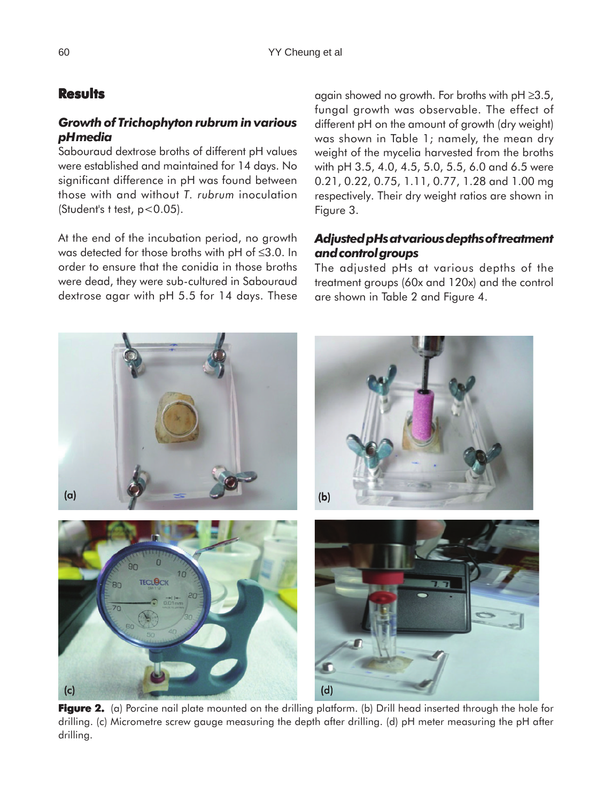# **Results**

## *Growth of Trichophyton rubrum in various pH media*

Sabouraud dextrose broths of different pH values were established and maintained for 14 days. No significant difference in pH was found between those with and without *T. rubrum* inoculation (Student's t test,  $p < 0.05$ ).

At the end of the incubation period, no growth was detected for those broths with pH of ≤3.0. In order to ensure that the conidia in those broths were dead, they were sub-cultured in Sabouraud dextrose agar with pH 5.5 for 14 days. These

again showed no growth. For broths with  $pH \ge 3.5$ , fungal growth was observable. The effect of different pH on the amount of growth (dry weight) was shown in Table 1; namely, the mean dry weight of the mycelia harvested from the broths with pH 3.5, 4.0, 4.5, 5.0, 5.5, 6.0 and 6.5 were 0.21, 0.22, 0.75, 1.11, 0.77, 1.28 and 1.00 mg respectively. Their dry weight ratios are shown in Figure 3.

## *Adjusted pHs at various depths of treatment and control groups*

The adjusted pHs at various depths of the treatment groups (60x and 120x) and the control are shown in Table 2 and Figure 4.



**Figure 2.** (a) Porcine nail plate mounted on the drilling platform. (b) Drill head inserted through the hole for drilling. (c) Micrometre screw gauge measuring the depth after drilling. (d) pH meter measuring the pH after drilling.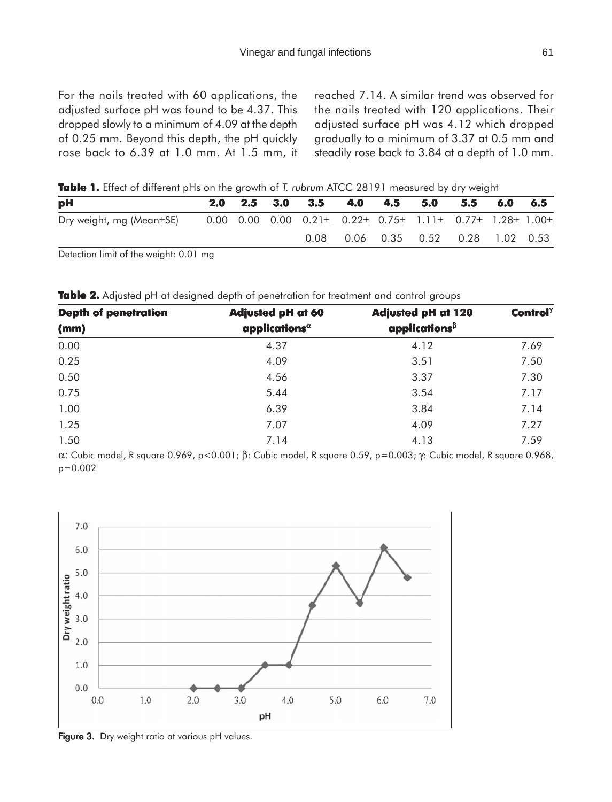reached 7.14. A similar trend was observed for the nails treated with 120 applications. Their adjusted surface pH was 4.12 which dropped gradually to a minimum of 3.37 at 0.5 mm and steadily rose back to 3.84 at a depth of 1.0 mm.

**Table 1.** Effect of different pHs on the growth of *T. rubrum* ATCC 28191 measured by dry weight

| pH                       | 2.0 | $2.5\quad 3.0$ | 3.5                                                                                        | 4.0 | 4.5 | 5.0 | 5.5                           | 6.0 | - 6.5 |
|--------------------------|-----|----------------|--------------------------------------------------------------------------------------------|-----|-----|-----|-------------------------------|-----|-------|
| Dry weight, mg (Mean±SE) |     |                | $0.00$ $0.00$ $0.00$ $0.21\pm$ $0.22\pm$ $0.75\pm$ $1.11\pm$ $0.77\pm$ $1.28\pm$ $1.00\pm$ |     |     |     |                               |     |       |
|                          |     |                | 0.08                                                                                       |     |     |     | 0.06 0.35 0.52 0.28 1.02 0.53 |     |       |

Detection limit of the weight: 0.01 mg

**Table 2.** Adjusted pH at designed depth of penetration for treatment and control groups

| <b>Depth of penetration</b> | <b>Adjusted pH at 60</b>   | <b>Adjusted pH at 120</b> | Control $\gamma$ |  |
|-----------------------------|----------------------------|---------------------------|------------------|--|
| (mm)                        | applications ${}^{\alpha}$ | applications $^\beta$     |                  |  |
| 0.00                        | 4.37                       | 4.12                      | 7.69             |  |
| 0.25                        | 4.09                       | 3.51                      | 7.50             |  |
| 0.50                        | 4.56                       | 3.37                      | 7.30             |  |
| 0.75                        | 5.44                       | 3.54                      | 7.17             |  |
| 1.00                        | 6.39                       | 3.84                      | 7.14             |  |
| 1.25                        | 7.07                       | 4.09                      | 7.27             |  |
| 1.50                        | 7.14                       | 4.13                      | 7.59             |  |

α: Cubic model, R square 0.969, p<0.001; β: Cubic model, R square 0.59, p=0.003; γ: Cubic model, R square 0.968, p=0.002



Figure 3. Dry weight ratio at various pH values.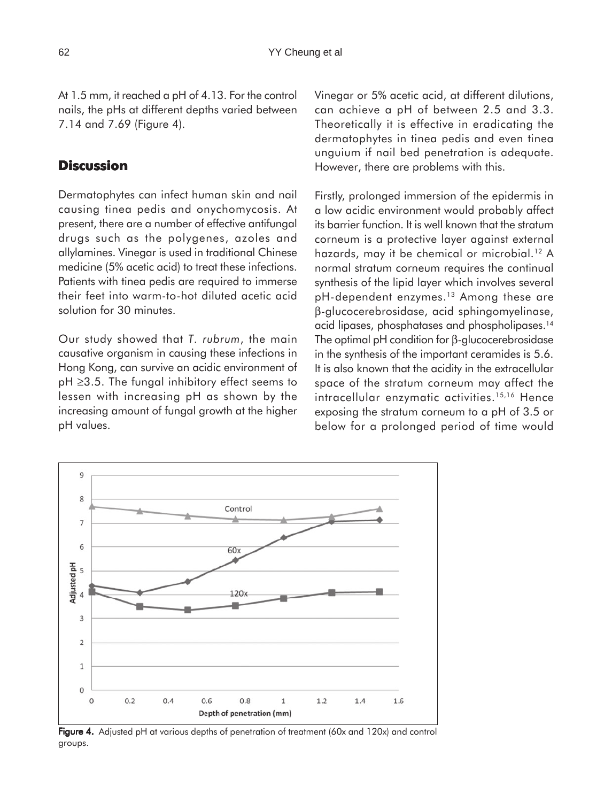At 1.5 mm, it reached a pH of 4.13. For the control nails, the pHs at different depths varied between 7.14 and 7.69 (Figure 4).

### **Discussion**

Dermatophytes can infect human skin and nail causing tinea pedis and onychomycosis. At present, there are a number of effective antifungal drugs such as the polygenes, azoles and allylamines. Vinegar is used in traditional Chinese medicine (5% acetic acid) to treat these infections. Patients with tinea pedis are required to immerse their feet into warm-to-hot diluted acetic acid solution for 30 minutes.

Our study showed that *T. rubrum*, the main causative organism in causing these infections in Hong Kong, can survive an acidic environment of pH ≥3.5. The fungal inhibitory effect seems to lessen with increasing pH as shown by the increasing amount of fungal growth at the higher pH values.

Vinegar or 5% acetic acid, at different dilutions, can achieve a pH of between 2.5 and 3.3. Theoretically it is effective in eradicating the dermatophytes in tinea pedis and even tinea unguium if nail bed penetration is adequate. However, there are problems with this.

Firstly, prolonged immersion of the epidermis in a low acidic environment would probably affect its barrier function. It is well known that the stratum corneum is a protective layer against external hazards, may it be chemical or microbial.<sup>12</sup> A normal stratum corneum requires the continual synthesis of the lipid layer which involves several pH-dependent enzymes.<sup>13</sup> Among these are β-glucocerebrosidase, acid sphingomyelinase, acid lipases, phosphatases and phospholipases.14 The optimal pH condition for β-glucocerebrosidase in the synthesis of the important ceramides is 5.6. It is also known that the acidity in the extracellular space of the stratum corneum may affect the intracellular enzymatic activities.<sup>15,16</sup> Hence exposing the stratum corneum to a pH of 3.5 or below for a prolonged period of time would



Figure 4. Adjusted pH at various depths of penetration of treatment (60x and 120x) and control groups.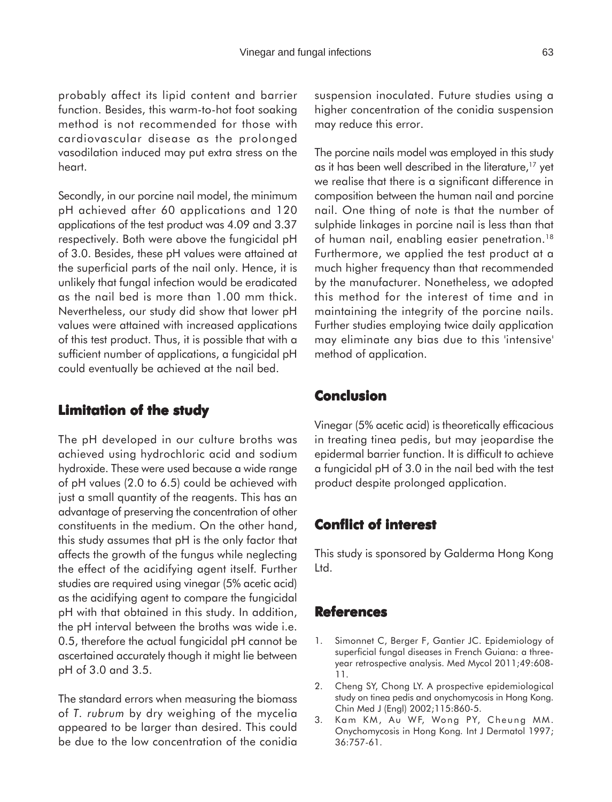probably affect its lipid content and barrier function. Besides, this warm-to-hot foot soaking method is not recommended for those with cardiovascular disease as the prolonged vasodilation induced may put extra stress on the heart.

Secondly, in our porcine nail model, the minimum pH achieved after 60 applications and 120 applications of the test product was 4.09 and 3.37 respectively. Both were above the fungicidal pH of 3.0. Besides, these pH values were attained at the superficial parts of the nail only. Hence, it is unlikely that fungal infection would be eradicated as the nail bed is more than 1.00 mm thick. Nevertheless, our study did show that lower pH values were attained with increased applications of this test product. Thus, it is possible that with a sufficient number of applications, a fungicidal pH could eventually be achieved at the nail bed.

### **Limitation of the study**

The pH developed in our culture broths was achieved using hydrochloric acid and sodium hydroxide. These were used because a wide range of pH values (2.0 to 6.5) could be achieved with just a small quantity of the reagents. This has an advantage of preserving the concentration of other constituents in the medium. On the other hand, this study assumes that pH is the only factor that affects the growth of the fungus while neglecting the effect of the acidifying agent itself. Further studies are required using vinegar (5% acetic acid) as the acidifying agent to compare the fungicidal pH with that obtained in this study. In addition, the pH interval between the broths was wide i.e. 0.5, therefore the actual fungicidal pH cannot be ascertained accurately though it might lie between pH of 3.0 and 3.5.

The standard errors when measuring the biomass of *T. rubrum* by dry weighing of the mycelia appeared to be larger than desired. This could be due to the low concentration of the conidia

suspension inoculated. Future studies using a higher concentration of the conidia suspension may reduce this error.

The porcine nails model was employed in this study as it has been well described in the literature,<sup>17</sup> yet we realise that there is a significant difference in composition between the human nail and porcine nail. One thing of note is that the number of sulphide linkages in porcine nail is less than that of human nail, enabling easier penetration.<sup>18</sup> Furthermore, we applied the test product at a much higher frequency than that recommended by the manufacturer. Nonetheless, we adopted this method for the interest of time and in maintaining the integrity of the porcine nails. Further studies employing twice daily application may eliminate any bias due to this 'intensive' method of application.

### **Conclusion**

Vinegar (5% acetic acid) is theoretically efficacious in treating tinea pedis, but may jeopardise the epidermal barrier function. It is difficult to achieve a fungicidal pH of 3.0 in the nail bed with the test product despite prolonged application.

### **Conflict of interest interest**

This study is sponsored by Galderma Hong Kong Ltd.

### **References**

- 1. Simonnet C, Berger F, Gantier JC. Epidemiology of superficial fungal diseases in French Guiana: a threeyear retrospective analysis. Med Mycol 2011;49:608- 11.
- 2. Cheng SY, Chong LY. A prospective epidemiological study on tinea pedis and onychomycosis in Hong Kong. Chin Med J (Engl) 2002;115:860-5.
- 3. Kam KM, Au WF, Wong PY, Cheung MM. Onychomycosis in Hong Kong*.* Int J Dermatol 1997; 36:757-61.